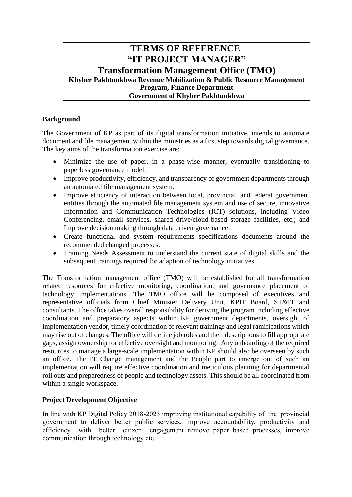# **TERMS OF REFERENCE "IT PROJECT MANAGER" Transformation Management Office (TMO) Khyber Pakhtunkhwa Revenue Mobilization & Public Resource Management Program, Finance Department Government of Khyber Pakhtunkhwa**

## **Background**

The Government of KP as part of its digital transformation initiative, intends to automate document and file management within the ministries as a first step towards digital governance. The key aims of the transformation exercise are:

- Minimize the use of paper, in a phase-wise manner, eventually transitioning to paperless governance model.
- Improve productivity, efficiency, and transparency of government departments through an automated file management system.
- Improve efficiency of interaction between local, provincial, and federal government entities through the automated file management system and use of secure, innovative Information and Communication Technologies (ICT) solutions, including Video Conferencing, email services, shared drive/cloud-based storage facilities, etc.; and Improve decision making through data driven governance.
- Create functional and system requirements specifications documents around the recommended changed processes.
- Training Needs Assessment to understand the current state of digital skills and the subsequent trainings required for adaption of technology initiatives.

The Transformation management office (TMO) will be established for all transformation related resources for effective monitoring, coordination, and governance placement of technology implementations. The TMO office will be composed of executives and representative officials from Chief Minister Delivery Unit, KPIT Board, ST&IT and consultants. The office takes overall responsibility for deriving the program including effective coordination and preparatory aspects within KP government departments, oversight of implementation vendor, timely coordination of relevant trainings and legal ramifications which may rise out of changes. The office will define job roles and their descriptions to fill appropriate gaps, assign ownership for effective oversight and monitoring. Any onboarding of the required resources to manage a large-scale implementation within KP should also be overseen by such an office. The IT Change management and the People part to emerge out of such an implementation will require effective coordination and meticulous planning for departmental roll outs and preparedness of people and technology assets. This should be all coordinated from within a single workspace.

### **Project Development Objective**

In line with KP Digital Policy 2018-2023 improving institutional capability of the provincial government to deliver better public services, improve accountability, productivity and efficiency with better citizen engagement remove paper based processes, improve communication through technology etc.